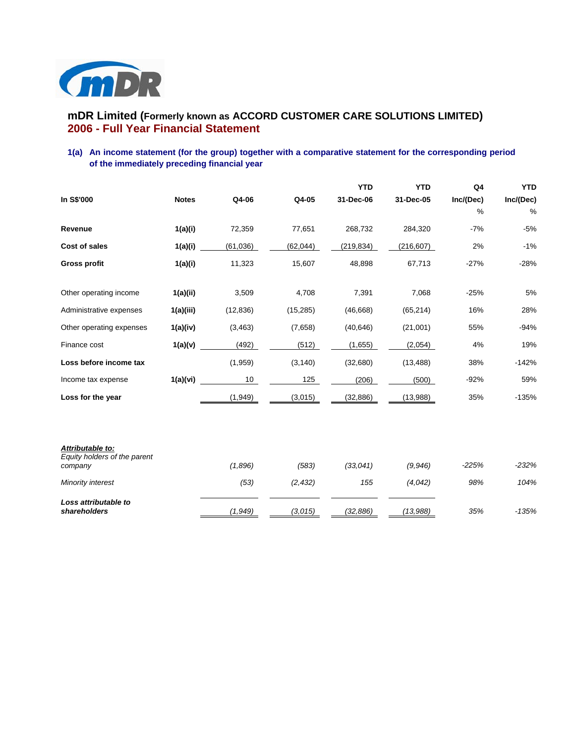

# **mDR Limited (Formerly known as ACCORD CUSTOMER CARE SOLUTIONS LIMITED) 2006 - Full Year Financial Statement**

# **1(a) An income statement (for the group) together with a comparative statement for the corresponding period of the immediately preceding financial year**

|                                                             |              |           |           | <b>YTD</b> | <b>YTD</b> | Q4            | <b>YTD</b> |
|-------------------------------------------------------------|--------------|-----------|-----------|------------|------------|---------------|------------|
| In S\$'000                                                  | <b>Notes</b> | Q4-06     | Q4-05     | 31-Dec-06  | 31-Dec-05  | Inc/(Dec)     | Inc/(Dec)  |
|                                                             |              |           |           |            |            | $\frac{0}{0}$ | %          |
| Revenue                                                     | 1(a)(i)      | 72,359    | 77,651    | 268,732    | 284,320    | $-7%$         | $-5%$      |
| Cost of sales                                               | 1(a)(i)      | (61,036)  | (62,044)  | (219, 834) | (216, 607) | 2%            | $-1%$      |
| <b>Gross profit</b>                                         | 1(a)(i)      | 11,323    | 15,607    | 48,898     | 67,713     | $-27%$        | $-28%$     |
|                                                             |              |           |           |            |            |               |            |
| Other operating income                                      | 1(a)(ii)     | 3,509     | 4,708     | 7,391      | 7,068      | $-25%$        | 5%         |
| Administrative expenses                                     | 1(a)(iii)    | (12, 836) | (15, 285) | (46, 668)  | (65, 214)  | 16%           | 28%        |
| Other operating expenses                                    | 1(a)(iv)     | (3, 463)  | (7,658)   | (40, 646)  | (21,001)   | 55%           | $-94%$     |
| Finance cost                                                | 1(a)(v)      | (492)     | (512)     | (1,655)    | (2,054)    | 4%            | 19%        |
| Loss before income tax                                      |              | (1,959)   | (3, 140)  | (32,680)   | (13, 488)  | 38%           | $-142%$    |
| Income tax expense                                          | 1(a)(vi)     | 10        | 125       | (206)      | (500)      | $-92%$        | 59%        |
| Loss for the year                                           |              | (1,949)   | (3,015)   | (32, 886)  | (13,988)   | 35%           | $-135%$    |
|                                                             |              |           |           |            |            |               |            |
|                                                             |              |           |           |            |            |               |            |
| Attributable to:<br>Equity holders of the parent<br>company |              | (1,896)   | (583)     | (33,041)   | (9,946)    | $-225%$       | $-232%$    |
| Minority interest                                           |              | (53)      | (2, 432)  | 155        | (4,042)    | 98%           | 104%       |
|                                                             |              |           |           |            |            |               |            |
| Loss attributable to<br>shareholders                        |              | (1,949)   | (3,015)   | (32, 886)  | (13,988)   | 35%           | $-135%$    |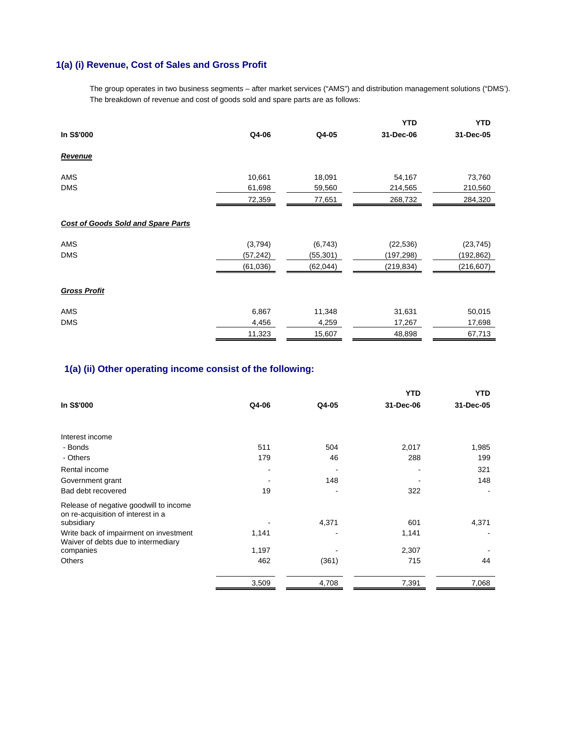# **1(a) (i) Revenue, Cost of Sales and Gross Profit**

The group operates in two business segments – after market services ("AMS") and distribution management solutions ("DMS'). The breakdown of revenue and cost of goods sold and spare parts are as follows:

|                                           |           |           | <b>YTD</b> | <b>YTD</b> |
|-------------------------------------------|-----------|-----------|------------|------------|
| In S\$'000                                | Q4-06     | Q4-05     | 31-Dec-06  | 31-Dec-05  |
| <b>Revenue</b>                            |           |           |            |            |
| AMS                                       | 10,661    | 18,091    | 54,167     | 73,760     |
| <b>DMS</b>                                | 61,698    | 59,560    | 214,565    | 210,560    |
|                                           | 72,359    | 77,651    | 268,732    | 284,320    |
| <b>Cost of Goods Sold and Spare Parts</b> |           |           |            |            |
| AMS                                       | (3,794)   | (6, 743)  | (22, 536)  | (23, 745)  |
| <b>DMS</b>                                | (57, 242) | (55, 301) | (197,298)  | (192, 862) |
|                                           | (61, 036) | (62, 044) | (219,834)  | (216,607)  |
| <b>Gross Profit</b>                       |           |           |            |            |
| AMS                                       | 6,867     | 11,348    | 31,631     | 50,015     |
| <b>DMS</b>                                | 4,456     | 4,259     | 17,267     | 17,698     |
|                                           | 11,323    | 15,607    | 48,898     | 67,713     |

# **1(a) (ii) Other operating income consist of the following:**

|                                                                               |       |       | <b>YTD</b> | <b>YTD</b> |
|-------------------------------------------------------------------------------|-------|-------|------------|------------|
| In S\$'000                                                                    | Q4-06 | Q4-05 | 31-Dec-06  | 31-Dec-05  |
|                                                                               |       |       |            |            |
| Interest income                                                               |       |       |            |            |
| - Bonds                                                                       | 511   | 504   | 2,017      | 1,985      |
| - Others                                                                      | 179   | 46    | 288        | 199        |
| Rental income                                                                 | -     |       |            | 321        |
| Government grant                                                              |       | 148   |            | 148        |
| Bad debt recovered                                                            | 19    |       | 322        |            |
| Release of negative goodwill to income<br>on re-acquisition of interest in a  |       |       |            |            |
| subsidiary                                                                    |       | 4,371 | 601        | 4,371      |
| Write back of impairment on investment<br>Waiver of debts due to intermediary | 1,141 |       | 1,141      |            |
| companies                                                                     | 1,197 |       | 2,307      |            |
| <b>Others</b>                                                                 | 462   | (361) | 715        | 44         |
|                                                                               | 3,509 | 4,708 | 7,391      | 7,068      |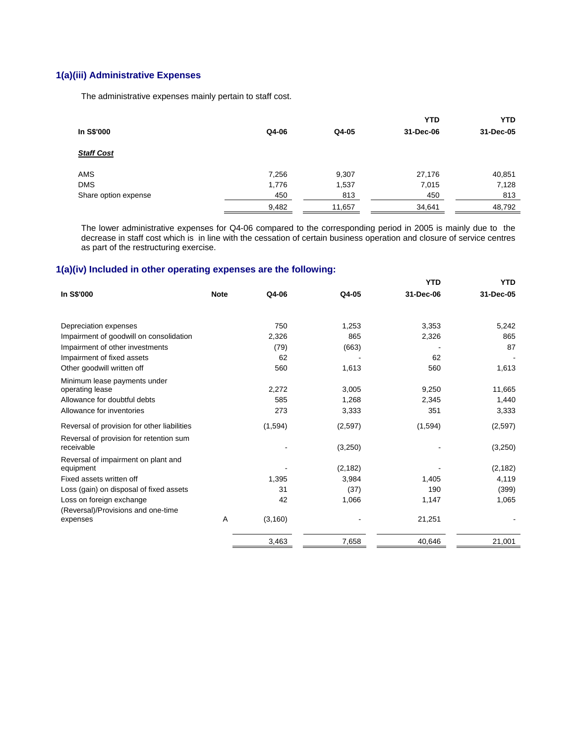# **1(a)(iii) Administrative Expenses**

The administrative expenses mainly pertain to staff cost.

|                      |       |        | <b>YTD</b> | <b>YTD</b> |
|----------------------|-------|--------|------------|------------|
| In S\$'000           | Q4-06 | Q4-05  | 31-Dec-06  | 31-Dec-05  |
| <b>Staff Cost</b>    |       |        |            |            |
| <b>AMS</b>           | 7,256 | 9,307  | 27,176     | 40,851     |
| <b>DMS</b>           | 1,776 | 1,537  | 7,015      | 7,128      |
| Share option expense | 450   | 813    | 450        | 813        |
|                      | 9,482 | 11,657 | 34,641     | 48,792     |

 The lower administrative expenses for Q4-06 compared to the corresponding period in 2005 is mainly due to the decrease in staff cost which is in line with the cessation of certain business operation and closure of service centres as part of the restructuring exercise.

# **1(a)(iv) Included in other operating expenses are the following:**

|             |          |                                              | YTD                                                                     | <b>YTD</b>                    |
|-------------|----------|----------------------------------------------|-------------------------------------------------------------------------|-------------------------------|
| <b>Note</b> | Q4-06    | Q4-05                                        | 31-Dec-06                                                               | 31-Dec-05                     |
|             |          |                                              |                                                                         |                               |
|             |          |                                              |                                                                         | 5,242                         |
|             |          |                                              |                                                                         | 865                           |
|             |          |                                              |                                                                         | 87                            |
|             |          |                                              |                                                                         |                               |
|             | 560      |                                              | 560                                                                     | 1,613                         |
|             |          |                                              |                                                                         |                               |
|             |          |                                              |                                                                         | 11,665                        |
|             | 585      | 1,268                                        | 2,345                                                                   | 1,440                         |
|             | 273      | 3,333                                        | 351                                                                     | 3,333                         |
|             | (1,594)  | (2,597)                                      | (1,594)                                                                 | (2,597)                       |
|             |          |                                              |                                                                         | (3,250)                       |
|             |          |                                              |                                                                         |                               |
|             |          |                                              |                                                                         | (2, 182)                      |
|             | 1,395    | 3,984                                        | 1,405                                                                   | 4,119                         |
|             | 31       | (37)                                         | 190                                                                     | (399)                         |
|             | 42       | 1,066                                        | 1,147                                                                   | 1,065                         |
|             |          |                                              |                                                                         |                               |
| A           | (3, 160) |                                              | 21,251                                                                  |                               |
|             |          |                                              | 40,646                                                                  | 21,001                        |
|             |          | 750<br>2,326<br>(79)<br>62<br>2,272<br>3,463 | 1,253<br>865<br>(663)<br>1,613<br>3,005<br>(3,250)<br>(2, 182)<br>7,658 | 3,353<br>2,326<br>62<br>9,250 |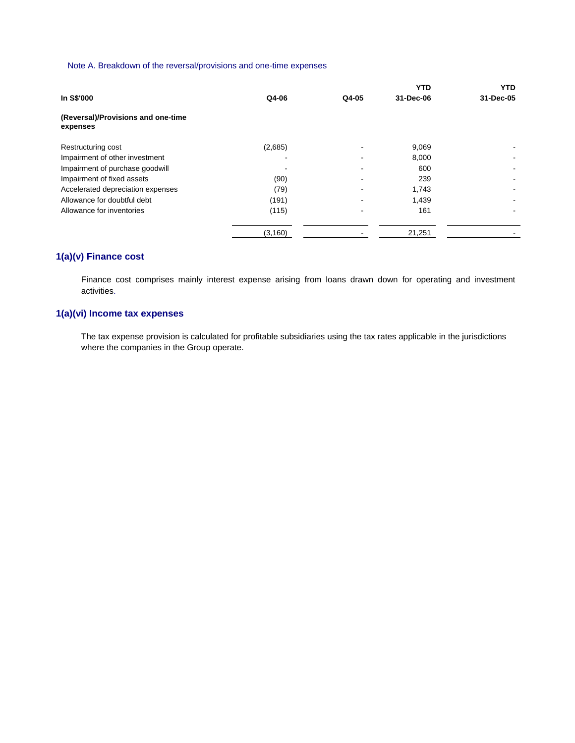### Note A. Breakdown of the reversal/provisions and one-time expenses

|                                                |          |       | <b>YTD</b> | <b>YTD</b> |
|------------------------------------------------|----------|-------|------------|------------|
| In S\$'000                                     | Q4-06    | Q4-05 | 31-Dec-06  | 31-Dec-05  |
| (Reversal)/Provisions and one-time<br>expenses |          |       |            |            |
| Restructuring cost                             | (2,685)  |       | 9,069      |            |
| Impairment of other investment                 |          |       | 8,000      |            |
| Impairment of purchase goodwill                |          |       | 600        |            |
| Impairment of fixed assets                     | (90)     |       | 239        |            |
| Accelerated depreciation expenses              | (79)     |       | 1,743      |            |
| Allowance for doubtful debt                    | (191)    |       | 1,439      |            |
| Allowance for inventories                      | (115)    |       | 161        |            |
|                                                | (3, 160) |       | 21,251     |            |

# **1(a)(v) Finance cost**

Finance cost comprises mainly interest expense arising from loans drawn down for operating and investment activities.

# **1(a)(vi) Income tax expenses**

The tax expense provision is calculated for profitable subsidiaries using the tax rates applicable in the jurisdictions where the companies in the Group operate.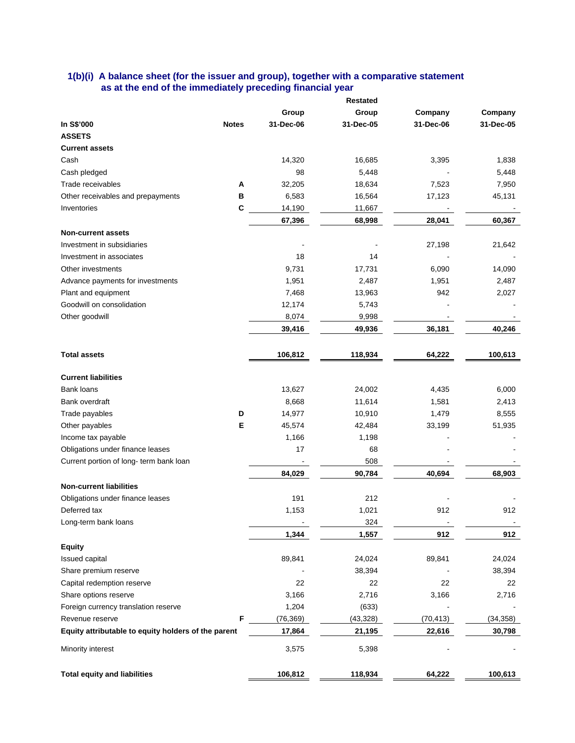### **1(b)(i) A balance sheet (for the issuer and group), together with a comparative statement as at the end of the immediately preceding financial year**

|                                                     |              |           | <b>Restated</b> |           |           |
|-----------------------------------------------------|--------------|-----------|-----------------|-----------|-----------|
|                                                     |              | Group     | Group           | Company   | Company   |
| In S\$'000                                          | <b>Notes</b> | 31-Dec-06 | 31-Dec-05       | 31-Dec-06 | 31-Dec-05 |
| <b>ASSETS</b>                                       |              |           |                 |           |           |
| <b>Current assets</b>                               |              |           |                 |           |           |
| Cash                                                |              | 14,320    | 16,685          | 3,395     | 1,838     |
| Cash pledged                                        |              | 98        | 5,448           |           | 5,448     |
| Trade receivables                                   | A            | 32,205    | 18,634          | 7,523     | 7,950     |
| Other receivables and prepayments                   | в            | 6,583     | 16,564          | 17,123    | 45,131    |
| Inventories                                         | C            | 14,190    | 11,667          |           |           |
|                                                     |              | 67,396    | 68,998          | 28,041    | 60,367    |
| <b>Non-current assets</b>                           |              |           |                 |           |           |
| Investment in subsidiaries                          |              |           |                 | 27,198    | 21,642    |
| Investment in associates                            |              | 18        | 14              |           |           |
| Other investments                                   |              | 9,731     | 17,731          | 6,090     | 14,090    |
| Advance payments for investments                    |              | 1,951     | 2,487           | 1,951     | 2,487     |
| Plant and equipment                                 |              | 7,468     | 13,963          | 942       | 2,027     |
| Goodwill on consolidation                           |              | 12,174    | 5,743           |           |           |
| Other goodwill                                      |              | 8,074     | 9,998           |           |           |
|                                                     |              | 39,416    | 49,936          | 36,181    | 40,246    |
|                                                     |              |           |                 |           |           |
| <b>Total assets</b>                                 |              | 106,812   | 118,934         | 64,222    | 100,613   |
| <b>Current liabilities</b>                          |              |           |                 |           |           |
| <b>Bank loans</b>                                   |              | 13,627    | 24,002          | 4,435     | 6,000     |
| Bank overdraft                                      |              | 8,668     | 11,614          | 1,581     | 2,413     |
| Trade payables                                      | D            | 14,977    | 10,910          | 1,479     | 8,555     |
| Other payables                                      | Е            | 45,574    | 42,484          | 33,199    | 51,935    |
| Income tax payable                                  |              | 1,166     | 1,198           |           |           |
| Obligations under finance leases                    |              | 17        | 68              |           |           |
| Current portion of long- term bank loan             |              |           | 508             |           |           |
|                                                     |              | 84,029    | 90,784          | 40,694    | 68,903    |
| <b>Non-current liabilities</b>                      |              |           |                 |           |           |
| Obligations under finance leases                    |              | 191       | 212             |           |           |
| Deferred tax                                        |              | 1,153     | 1,021           | 912       | 912       |
| Long-term bank loans                                |              |           | 324             |           |           |
|                                                     |              | 1,344     | 1,557           | 912       | 912       |
| <b>Equity</b>                                       |              |           |                 |           |           |
| Issued capital                                      |              | 89,841    | 24,024          | 89,841    | 24,024    |
| Share premium reserve                               |              |           | 38,394          |           | 38,394    |
| Capital redemption reserve                          |              | 22        | 22              | 22        | 22        |
| Share options reserve                               |              | 3,166     | 2,716           | 3,166     | 2,716     |
| Foreign currency translation reserve                |              | 1,204     | (633)           |           |           |
| Revenue reserve                                     | F            | (76, 369) | (43, 328)       | (70, 413) | (34, 358) |
| Equity attributable to equity holders of the parent |              | 17,864    | 21,195          | 22,616    | 30,798    |
| Minority interest                                   |              | 3,575     | 5,398           |           |           |
| <b>Total equity and liabilities</b>                 |              | 106,812   | 118,934         | 64,222    | 100,613   |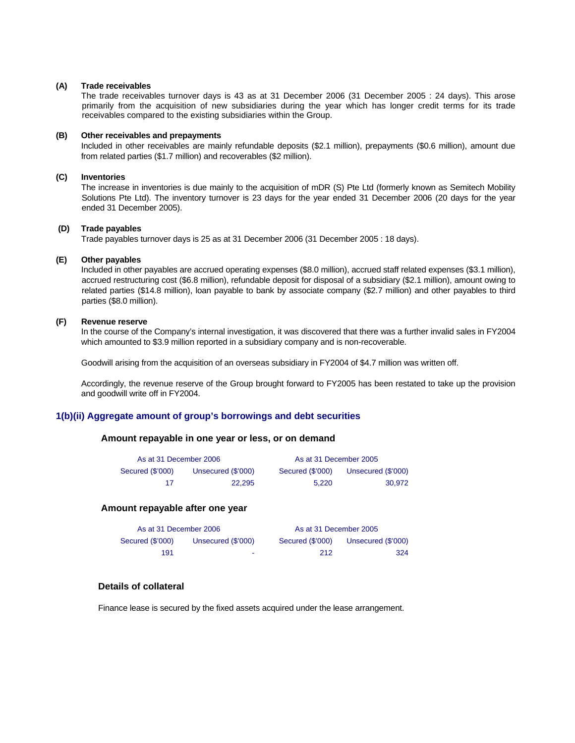#### **(A) Trade receivables**

 The trade receivables turnover days is 43 as at 31 December 2006 (31 December 2005 : 24 days). This arose primarily from the acquisition of new subsidiaries during the year which has longer credit terms for its trade receivables compared to the existing subsidiaries within the Group.

#### **(B) Other receivables and prepayments**

Included in other receivables are mainly refundable deposits (\$2.1 million), prepayments (\$0.6 million), amount due from related parties (\$1.7 million) and recoverables (\$2 million).

#### **(C) Inventories**

 The increase in inventories is due mainly to the acquisition of mDR (S) Pte Ltd (formerly known as Semitech Mobility Solutions Pte Ltd). The inventory turnover is 23 days for the year ended 31 December 2006 (20 days for the year ended 31 December 2005).

#### **(D) Trade payables**

Trade payables turnover days is 25 as at 31 December 2006 (31 December 2005 : 18 days).

#### **(E) Other payables**

 Included in other payables are accrued operating expenses (\$8.0 million), accrued staff related expenses (\$3.1 million), accrued restructuring cost (\$6.8 million), refundable deposit for disposal of a subsidiary (\$2.1 million), amount owing to related parties (\$14.8 million), loan payable to bank by associate company (\$2.7 million) and other payables to third parties (\$8.0 million).

#### **(F) Revenue reserve**

 In the course of the Company's internal investigation, it was discovered that there was a further invalid sales in FY2004 which amounted to \$3.9 million reported in a subsidiary company and is non-recoverable.

Goodwill arising from the acquisition of an overseas subsidiary in FY2004 of \$4.7 million was written off.

Accordingly, the revenue reserve of the Group brought forward to FY2005 has been restated to take up the provision and goodwill write off in FY2004.

#### **1(b)(ii) Aggregate amount of group's borrowings and debt securities**

### **Amount repayable in one year or less, or on demand**

| As at 31 December 2006 |                    |                  | As at 31 December 2005 |
|------------------------|--------------------|------------------|------------------------|
| Secured (\$'000)       | Unsecured (\$'000) | Secured (\$'000) | Unsecured (\$'000)     |
| 17                     | 22.295             | 5.220            | 30.972                 |

#### **Amount repayable after one year**

| As at 31 December 2006 |                    | As at 31 December 2005 |                    |  |  |
|------------------------|--------------------|------------------------|--------------------|--|--|
| Secured (\$'000)       | Unsecured (\$'000) | Secured (\$'000)       | Unsecured (\$'000) |  |  |
| 191                    | $\sim$             | 212                    | 324                |  |  |

### **Details of collateral**

Finance lease is secured by the fixed assets acquired under the lease arrangement.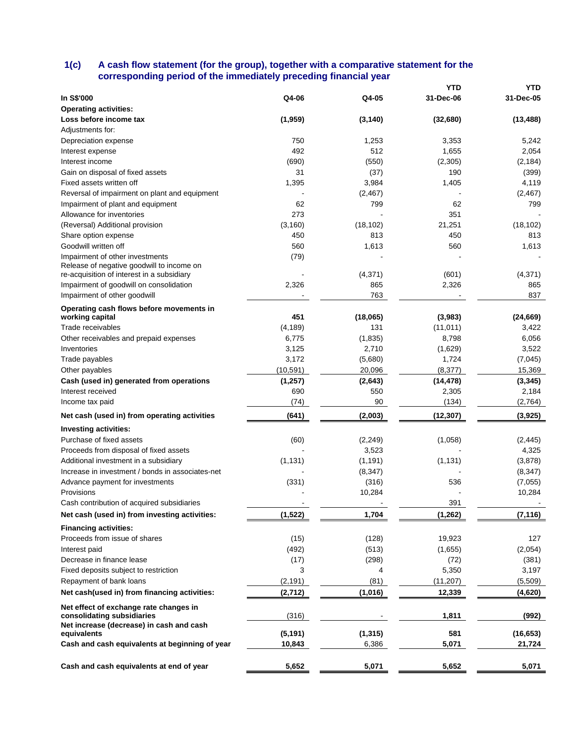### **1(c) A cash flow statement (for the group), together with a comparative statement for the corresponding period of the immediately preceding financial year**

|                                                  |           |           | <b>YTD</b> | YTD       |
|--------------------------------------------------|-----------|-----------|------------|-----------|
| In S\$'000                                       | Q4-06     | Q4-05     | 31-Dec-06  | 31-Dec-05 |
| <b>Operating activities:</b>                     |           |           |            |           |
| Loss before income tax                           | (1,959)   | (3, 140)  | (32,680)   | (13, 488) |
| Adjustments for:                                 |           |           |            |           |
| Depreciation expense                             | 750       | 1,253     | 3,353      | 5,242     |
| Interest expense                                 | 492       | 512       | 1,655      | 2,054     |
| Interest income                                  | (690)     | (550)     | (2,305)    | (2, 184)  |
| Gain on disposal of fixed assets                 | 31        | (37)      | 190        | (399)     |
| Fixed assets written off                         | 1,395     | 3,984     | 1,405      | 4,119     |
| Reversal of impairment on plant and equipment    |           | (2,467)   |            | (2, 467)  |
| Impairment of plant and equipment                | 62        | 799       | 62         | 799       |
| Allowance for inventories                        | 273       |           | 351        |           |
| (Reversal) Additional provision                  | (3, 160)  | (18, 102) | 21,251     | (18, 102) |
| Share option expense                             | 450       | 813       | 450        | 813       |
| Goodwill written off                             | 560       | 1,613     | 560        | 1,613     |
| Impairment of other investments                  | (79)      |           |            |           |
| Release of negative goodwill to income on        |           |           |            |           |
| re-acquisition of interest in a subsidiary       |           | (4, 371)  | (601)      | (4,371)   |
| Impairment of goodwill on consolidation          | 2,326     | 865       | 2,326      | 865       |
| Impairment of other goodwill                     |           | 763       |            | 837       |
| Operating cash flows before movements in         |           |           |            |           |
| working capital                                  | 451       | (18,065)  | (3,983)    | (24, 669) |
| Trade receivables                                | (4, 189)  | 131       | (11, 011)  | 3,422     |
| Other receivables and prepaid expenses           | 6,775     | (1, 835)  | 8,798      | 6,056     |
| Inventories                                      | 3,125     | 2,710     | (1,629)    | 3,522     |
| Trade payables                                   | 3,172     | (5,680)   | 1,724      | (7,045)   |
| Other payables                                   | (10, 591) | 20,096    | (8, 377)   | 15,369    |
| Cash (used in) generated from operations         | (1, 257)  | (2,643)   | (14, 478)  | (3, 345)  |
| Interest received                                | 690       | 550       | 2,305      | 2,184     |
| Income tax paid                                  | (74)      | 90        | (134)      | (2,764)   |
| Net cash (used in) from operating activities     | (641)     | (2,003)   | (12, 307)  | (3,925)   |
| Investing activities:                            |           |           |            |           |
| Purchase of fixed assets                         | (60)      | (2, 249)  | (1,058)    | (2, 445)  |
| Proceeds from disposal of fixed assets           |           | 3,523     |            | 4,325     |
| Additional investment in a subsidiary            | (1, 131)  | (1, 191)  | (1, 131)   | (3,878)   |
| Increase in investment / bonds in associates-net |           | (8, 347)  |            | (8, 347)  |
| Advance payment for investments                  | (331)     | (316)     | 536        | (7,055)   |
| Provisions                                       |           |           |            |           |
| Cash contribution of acquired subsidiaries       |           | 10,284    | 391        | 10,284    |
|                                                  |           |           |            |           |
| Net cash (used in) from investing activities:    | (1, 522)  | 1,704     | (1, 262)   | (7, 116)  |
| <b>Financing activities:</b>                     |           |           |            |           |
| Proceeds from issue of shares                    | (15)      | (128)     | 19,923     | 127       |
| Interest paid                                    | (492)     | (513)     | (1,655)    | (2,054)   |
| Decrease in finance lease                        | (17)      | (298)     | (72)       | (381)     |
| Fixed deposits subject to restriction            | 3         | 4         | 5,350      | 3,197     |
| Repayment of bank loans                          | (2, 191)  | (81)      | (11, 207)  | (5,509)   |
| Net cash(used in) from financing activities:     | (2,712)   | (1,016)   | 12,339     | (4,620)   |
| Net effect of exchange rate changes in           |           |           |            |           |
| consolidating subsidiaries                       | (316)     |           | 1,811      | (992)     |
| Net increase (decrease) in cash and cash         |           |           |            |           |
| equivalents                                      | (5, 191)  | (1, 315)  | 581        | (16, 653) |
| Cash and cash equivalents at beginning of year   | 10,843    | 6,386     | 5,071      | 21,724    |
| Cash and cash equivalents at end of year         | 5,652     | 5,071     | 5,652      | 5,071     |
|                                                  |           |           |            |           |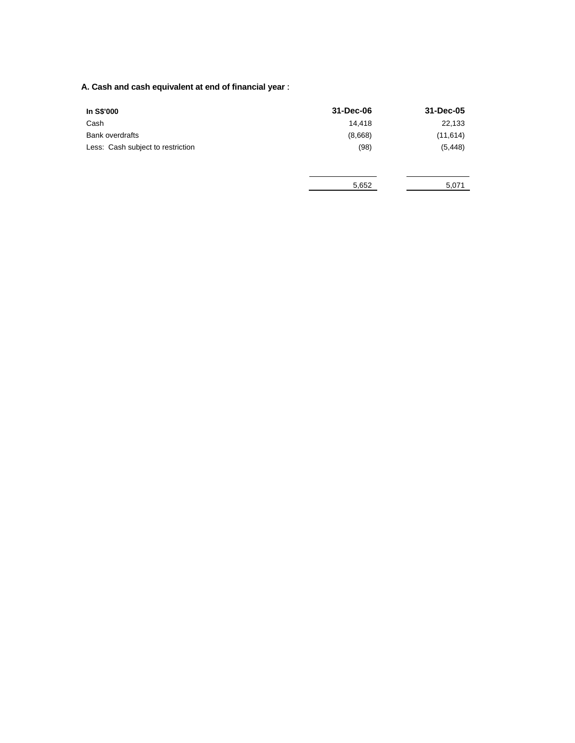# **A. Cash and cash equivalent at end of financial year** :

| In S\$'000                        | 31-Dec-06 | 31-Dec-05 |
|-----------------------------------|-----------|-----------|
| Cash                              | 14,418    | 22,133    |
| <b>Bank overdrafts</b>            | (8,668)   | (11, 614) |
| Less: Cash subject to restriction | (98)      | (5, 448)  |
|                                   |           |           |
|                                   | 5,652     | 5,071     |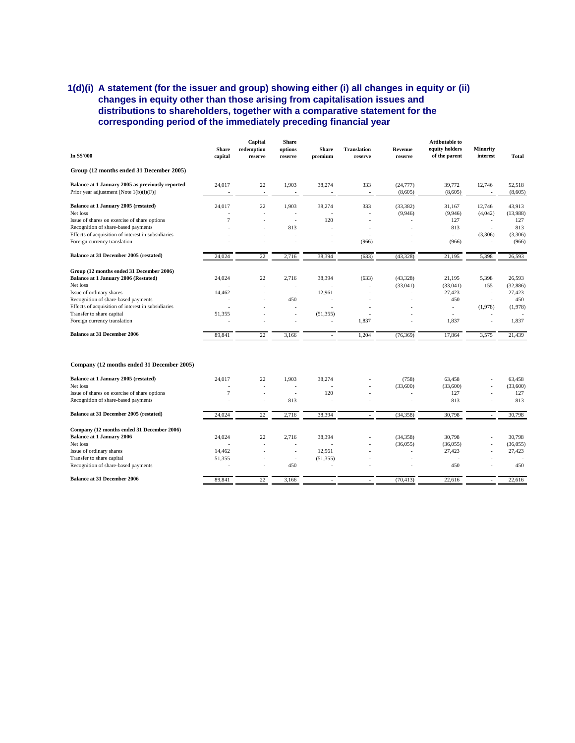## **1(d)(i) A statement (for the issuer and group) showing either (i) all changes in equity or (ii) changes in equity other than those arising from capitalisation issues and distributions to shareholders, together with a comparative statement for the corresponding period of the immediately preceding financial year**

|                                                           |                          | Capital        | <b>Share</b>             |              |                    |                | <b>Attibutable to</b>         |                          |              |
|-----------------------------------------------------------|--------------------------|----------------|--------------------------|--------------|--------------------|----------------|-------------------------------|--------------------------|--------------|
|                                                           | <b>Share</b>             | redemption     | options                  | <b>Share</b> | <b>Translation</b> | <b>Revenue</b> | equity holders                | <b>Minority</b>          |              |
| <b>In S\$'000</b>                                         | capital                  | reserve        | reserve                  | premium      | reserve            | reserve        | of the parent                 | interest                 | <b>Total</b> |
| Group (12 months ended 31 December 2005)                  |                          |                |                          |              |                    |                |                               |                          |              |
| Balance at 1 January 2005 as previously reported          | 24,017                   | 22             | 1,903                    | 38,274       | 333                | (24, 777)      | 39,772                        | 12,746                   | 52,518       |
| Prior year adjustment [Note $1(b)(i)(F)$ ]                | $\overline{\phantom{a}}$ | ÷,             |                          |              | $\blacksquare$     | (8,605)        | (8,605)                       | $\overline{\phantom{a}}$ | (8,605)      |
| Balance at 1 January 2005 (restated)                      | 24,017                   | 22             | 1,903                    | 38,274       | 333                | (33, 382)      | 31,167                        | 12,746                   | 43,913       |
| Net loss                                                  |                          |                |                          |              |                    | (9,946)        | (9,946)                       | (4,042)                  | (13.988)     |
| Issue of shares on exercise of share options              | $\overline{7}$           |                | $\overline{\phantom{a}}$ | 120          |                    |                | 127                           | ä,                       | 127          |
| Recognition of share-based payments                       |                          |                | 813                      |              |                    |                | 813                           | ä,                       | 813          |
| Effects of acquisition of interest in subsidiaries        |                          | ä,             |                          | ä,           | ÷,                 |                | $\sim$                        | (3,306)                  | (3,306)      |
| Foreign currency translation                              |                          |                |                          |              | (966)              |                | (966)                         |                          | (966)        |
| Balance at 31 December 2005 (restated)                    | 24.024                   | 22             | 2.716                    | 38.394       | (633)              | (43.328)       | 21.195                        | 5,398                    | 26.593       |
| Group (12 months ended 31 December 2006)                  |                          |                |                          |              |                    |                |                               |                          |              |
| Balance at 1 January 2006 (Restated)                      | 24,024                   | 22             | 2.716                    | 38,394       | (633)              | (43, 328)      | 21.195                        | 5,398                    | 26.593       |
| Net loss                                                  |                          |                | $\ddot{\phantom{1}}$     |              | ÷,                 | (33,041)       | (33,041)                      | 155                      | (32, 886)    |
| Issue of ordinary shares                                  | 14,462                   |                | ÷,                       | 12,961       |                    | ä,             | 27,423                        | ä,                       | 27,423       |
| Recognition of share-based payments                       |                          |                | 450                      |              |                    |                | 450                           | ä,                       | 450          |
| Effects of acquisition of interest in subsidiaries        |                          |                |                          |              |                    |                | ä,                            | (1,978)                  | (1,978)      |
| Transfer to share capital<br>Foreign currency translation | 51,355                   |                | ä,                       | (51, 355)    | 1.837              |                | $\ddot{\phantom{1}}$<br>1.837 |                          | 1.837        |
|                                                           |                          |                |                          |              |                    |                |                               |                          |              |
| <b>Balance at 31 December 2006</b>                        | 89,841                   | 22             | 3,166                    |              | 1,204              | (76, 369)      | 17,864                        | 3,575                    | 21,439       |
| Company (12 months ended 31 December 2005)                |                          |                |                          |              |                    |                |                               |                          |              |
| Balance at 1 January 2005 (restated)                      | 24,017                   | 22             | 1,903                    | 38,274       |                    | (758)          | 63.458                        |                          | 63,458       |
| Net loss                                                  |                          | $\overline{a}$ | $\overline{a}$           |              |                    | (33,600)       | (33,600)                      | ÷.                       | (33,600)     |
| Issue of shares on exercise of share options              | $\tau$                   | $\overline{a}$ | $\sim$                   | 120          | $\overline{a}$     |                | 127                           | ÷.                       | 127          |
| Recognition of share-based payments                       | ÷.                       | $\overline{a}$ | 813                      |              |                    | ÷.             | 813                           | L.                       | 813          |
| Balance at 31 December 2005 (restated)                    | 24,024                   | 22             | 2,716                    | 38,394       |                    | (34, 358)      | 30,798                        |                          | 30,798       |
| Company (12 months ended 31 December 2006)                |                          |                |                          |              |                    |                |                               |                          |              |
| Balance at 1 January 2006                                 | 24,024                   | 22             | 2,716                    | 38,394       |                    | (34, 358)      | 30,798                        |                          | 30,798       |
| Net loss                                                  |                          |                |                          |              |                    | (36, 055)      | (36, 055)                     | L,                       | (36, 055)    |
| Issue of ordinary shares                                  | 14,462                   |                | $\sim$                   | 12,961       |                    | ÷.             | 27,423                        |                          | 27,423       |
| Transfer to share capital                                 | 51.355                   |                | $\sim$                   | (51, 355)    |                    |                |                               |                          |              |
| Recognition of share-based payments                       |                          |                | 450                      |              |                    |                | 450                           |                          | 450          |
| <b>Balance at 31 December 2006</b>                        | 89,841                   | 22             | 3,166                    |              |                    | (70, 413)      | 22,616                        |                          | 22,616       |
|                                                           |                          |                |                          |              |                    |                |                               |                          |              |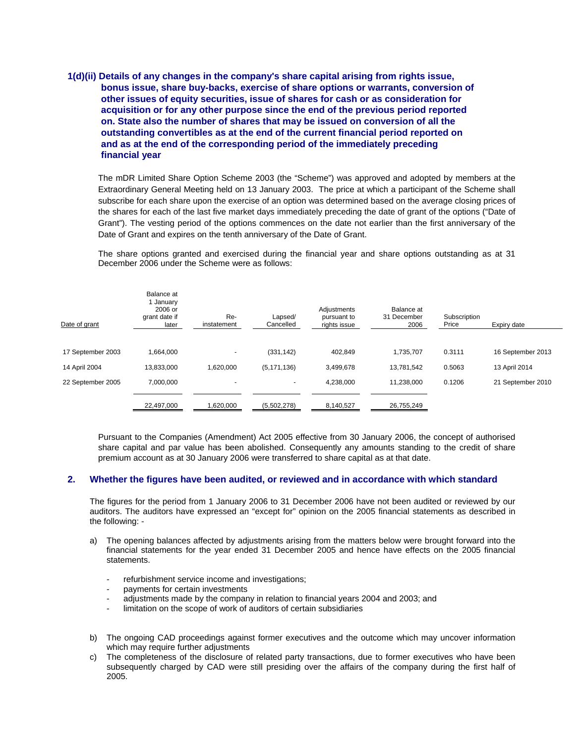# **1(d)(ii) Details of any changes in the company's share capital arising from rights issue, bonus issue, share buy-backs, exercise of share options or warrants, conversion of other issues of equity securities, issue of shares for cash or as consideration for acquisition or for any other purpose since the end of the previous period reported on. State also the number of shares that may be issued on conversion of all the outstanding convertibles as at the end of the current financial period reported on and as at the end of the corresponding period of the immediately preceding financial year**

The mDR Limited Share Option Scheme 2003 (the "Scheme") was approved and adopted by members at the Extraordinary General Meeting held on 13 January 2003. The price at which a participant of the Scheme shall subscribe for each share upon the exercise of an option was determined based on the average closing prices of the shares for each of the last five market days immediately preceding the date of grant of the options ("Date of Grant"). The vesting period of the options commences on the date not earlier than the first anniversary of the Date of Grant and expires on the tenth anniversary of the Date of Grant.

The share options granted and exercised during the financial year and share options outstanding as at 31 December 2006 under the Scheme were as follows:

| Date of grant     | Balance at<br>1 January<br>2006 or<br>grant date if<br>later | Re-<br>instatement | Lapsed/<br>Cancelled | Adjustments<br>pursuant to<br>rights issue | Balance at<br>31 December<br>2006 | Subscription<br>Price | Expiry date       |
|-------------------|--------------------------------------------------------------|--------------------|----------------------|--------------------------------------------|-----------------------------------|-----------------------|-------------------|
|                   |                                                              |                    |                      |                                            |                                   |                       |                   |
| 17 September 2003 | 1.664.000                                                    |                    | (331, 142)           | 402.849                                    | 1.735.707                         | 0.3111                | 16 September 2013 |
| 14 April 2004     | 13,833,000                                                   | 1.620.000          | (5, 171, 136)        | 3,499,678                                  | 13.781.542                        | 0.5063                | 13 April 2014     |
| 22 September 2005 | 7,000,000                                                    |                    | $\overline{a}$       | 4,238,000                                  | 11,238,000                        | 0.1206                | 21 September 2010 |
|                   |                                                              |                    |                      |                                            |                                   |                       |                   |
|                   | 22,497,000                                                   | 620,000            | (5,502,278)          | 8,140,527                                  | 26,755,249                        |                       |                   |

Pursuant to the Companies (Amendment) Act 2005 effective from 30 January 2006, the concept of authorised share capital and par value has been abolished. Consequently any amounts standing to the credit of share premium account as at 30 January 2006 were transferred to share capital as at that date.

### **2. Whether the figures have been audited, or reviewed and in accordance with which standard**

The figures for the period from 1 January 2006 to 31 December 2006 have not been audited or reviewed by our auditors. The auditors have expressed an "except for" opinion on the 2005 financial statements as described in the following: -

- a) The opening balances affected by adjustments arising from the matters below were brought forward into the financial statements for the year ended 31 December 2005 and hence have effects on the 2005 financial statements.
	- refurbishment service income and investigations;
	- payments for certain investments
	- adjustments made by the company in relation to financial years 2004 and 2003; and
	- limitation on the scope of work of auditors of certain subsidiaries
- b) The ongoing CAD proceedings against former executives and the outcome which may uncover information which may require further adjustments
- c) The completeness of the disclosure of related party transactions, due to former executives who have been subsequently charged by CAD were still presiding over the affairs of the company during the first half of 2005.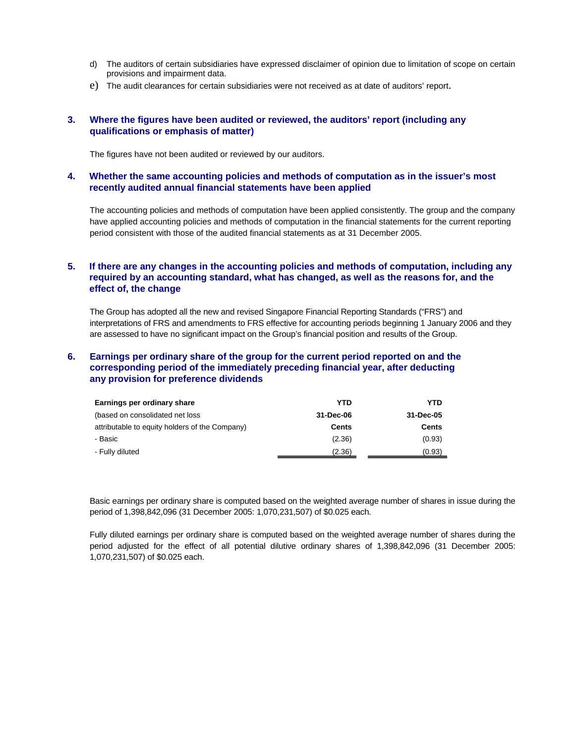- d) The auditors of certain subsidiaries have expressed disclaimer of opinion due to limitation of scope on certain provisions and impairment data.
- e) The audit clearances for certain subsidiaries were not received as at date of auditors' report.

## **3. Where the figures have been audited or reviewed, the auditors' report (including any qualifications or emphasis of matter)**

The figures have not been audited or reviewed by our auditors.

## **4. Whether the same accounting policies and methods of computation as in the issuer's most recently audited annual financial statements have been applied**

The accounting policies and methods of computation have been applied consistently. The group and the company have applied accounting policies and methods of computation in the financial statements for the current reporting period consistent with those of the audited financial statements as at 31 December 2005.

# **5. If there are any changes in the accounting policies and methods of computation, including any required by an accounting standard, what has changed, as well as the reasons for, and the effect of, the change**

The Group has adopted all the new and revised Singapore Financial Reporting Standards ("FRS") and interpretations of FRS and amendments to FRS effective for accounting periods beginning 1 January 2006 and they are assessed to have no significant impact on the Group's financial position and results of the Group.

## **6. Earnings per ordinary share of the group for the current period reported on and the corresponding period of the immediately preceding financial year, after deducting any provision for preference dividends**

| Earnings per ordinary share                    | YTD          | YTD       |
|------------------------------------------------|--------------|-----------|
| (based on consolidated net loss                | 31-Dec-06    | 31-Dec-05 |
| attributable to equity holders of the Company) | <b>Cents</b> | Cents     |
| - Basic                                        | (2.36)       | (0.93)    |
| - Fully diluted                                | (2.36)       | (0.93)    |

Basic earnings per ordinary share is computed based on the weighted average number of shares in issue during the period of 1,398,842,096 (31 December 2005: 1,070,231,507) of \$0.025 each.

Fully diluted earnings per ordinary share is computed based on the weighted average number of shares during the period adjusted for the effect of all potential dilutive ordinary shares of 1,398,842,096 (31 December 2005: 1,070,231,507) of \$0.025 each.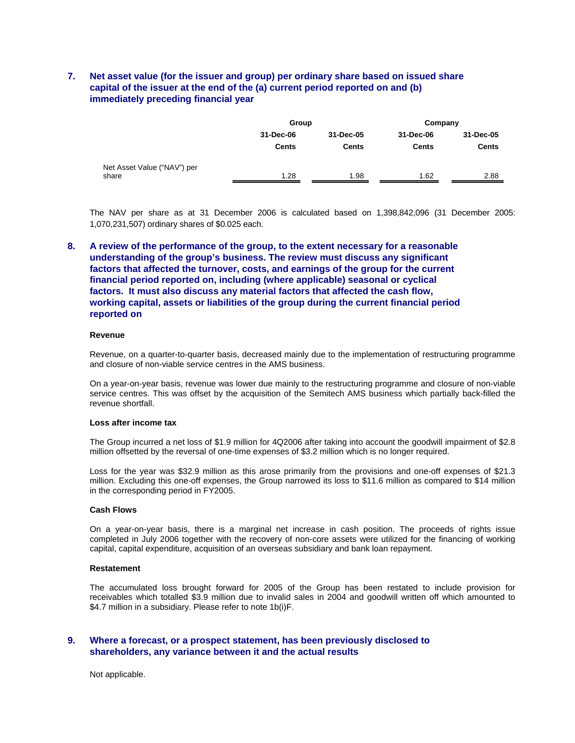# **7. Net asset value (for the issuer and group) per ordinary share based on issued share capital of the issuer at the end of the (a) current period reported on and (b) immediately preceding financial year**

|                             | Group        |              | Company      |              |  |
|-----------------------------|--------------|--------------|--------------|--------------|--|
|                             | 31-Dec-06    | 31-Dec-05    | 31-Dec-06    | 31-Dec-05    |  |
|                             | <b>Cents</b> | <b>Cents</b> | <b>Cents</b> | <b>Cents</b> |  |
| Net Asset Value ("NAV") per |              |              |              |              |  |
| share                       | 1.28         | 1.98         | 1.62         | 2.88         |  |

The NAV per share as at 31 December 2006 is calculated based on 1,398,842,096 (31 December 2005: 1,070,231,507) ordinary shares of \$0.025 each.

**8. A review of the performance of the group, to the extent necessary for a reasonable understanding of the group's business. The review must discuss any significant factors that affected the turnover, costs, and earnings of the group for the current financial period reported on, including (where applicable) seasonal or cyclical factors. It must also discuss any material factors that affected the cash flow, working capital, assets or liabilities of the group during the current financial period reported on** 

#### **Revenue**

Revenue, on a quarter-to-quarter basis, decreased mainly due to the implementation of restructuring programme and closure of non-viable service centres in the AMS business.

On a year-on-year basis, revenue was lower due mainly to the restructuring programme and closure of non-viable service centres. This was offset by the acquisition of the Semitech AMS business which partially back-filled the revenue shortfall.

#### **Loss after income tax**

The Group incurred a net loss of \$1.9 million for 4Q2006 after taking into account the goodwill impairment of \$2.8 million offsetted by the reversal of one-time expenses of \$3.2 million which is no longer required.

Loss for the year was \$32.9 million as this arose primarily from the provisions and one-off expenses of \$21.3 million. Excluding this one-off expenses, the Group narrowed its loss to \$11.6 million as compared to \$14 million in the corresponding period in FY2005.

#### **Cash Flows**

On a year-on-year basis, there is a marginal net increase in cash position. The proceeds of rights issue completed in July 2006 together with the recovery of non-core assets were utilized for the financing of working capital, capital expenditure, acquisition of an overseas subsidiary and bank loan repayment.

#### **Restatement**

The accumulated loss brought forward for 2005 of the Group has been restated to include provision for receivables which totalled \$3.9 million due to invalid sales in 2004 and goodwill written off which amounted to \$4.7 million in a subsidiary. Please refer to note 1b(i)F.

### **9. Where a forecast, or a prospect statement, has been previously disclosed to shareholders, any variance between it and the actual results**

Not applicable.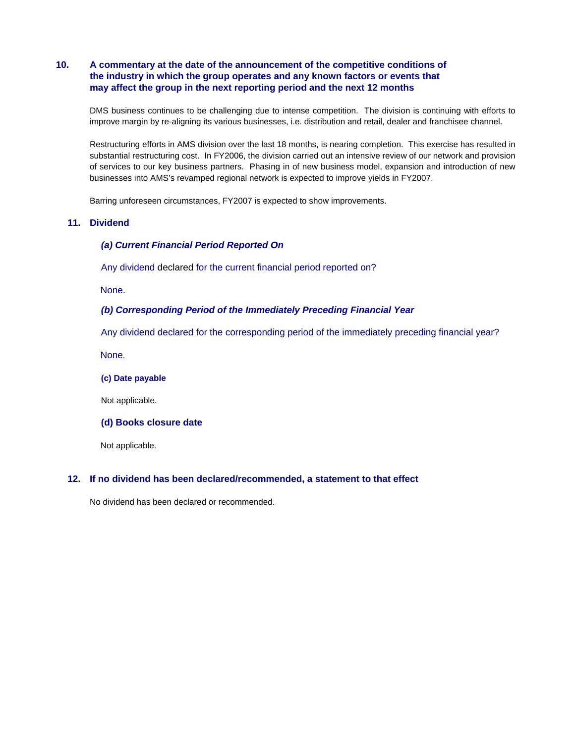# **10. A commentary at the date of the announcement of the competitive conditions of the industry in which the group operates and any known factors or events that may affect the group in the next reporting period and the next 12 months**

DMS business continues to be challenging due to intense competition. The division is continuing with efforts to improve margin by re-aligning its various businesses, i.e. distribution and retail, dealer and franchisee channel.

 Restructuring efforts in AMS division over the last 18 months, is nearing completion. This exercise has resulted in substantial restructuring cost. In FY2006, the division carried out an intensive review of our network and provision of services to our key business partners. Phasing in of new business model, expansion and introduction of new businesses into AMS's revamped regional network is expected to improve yields in FY2007.

Barring unforeseen circumstances, FY2007 is expected to show improvements.

## **11. Dividend**

### *(a) Current Financial Period Reported On*

Any dividend declared for the current financial period reported on?

None.

### *(b) Corresponding Period of the Immediately Preceding Financial Year*

Any dividend declared for the corresponding period of the immediately preceding financial year?

None.

**(c) Date payable** 

Not applicable.

#### **(d) Books closure date**

Not applicable.

### **12. If no dividend has been declared/recommended, a statement to that effect**

No dividend has been declared or recommended.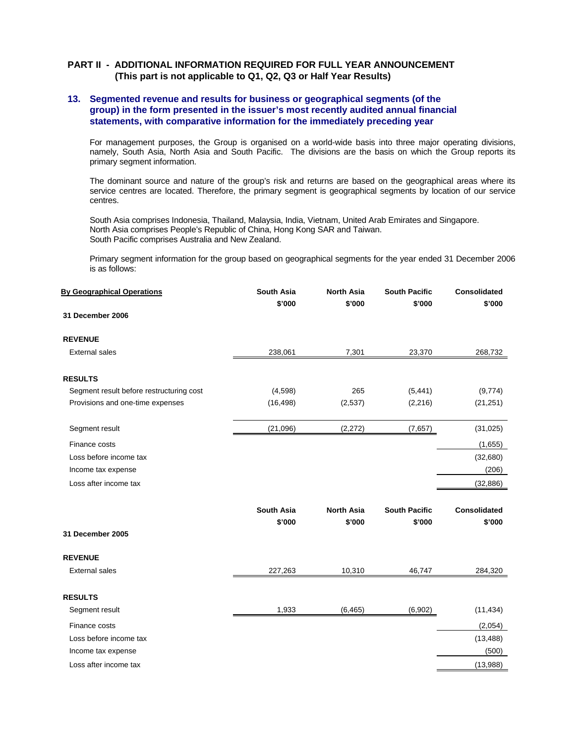## **PART II - ADDITIONAL INFORMATION REQUIRED FOR FULL YEAR ANNOUNCEMENT (This part is not applicable to Q1, Q2, Q3 or Half Year Results)**

## **13. Segmented revenue and results for business or geographical segments (of the group) in the form presented in the issuer's most recently audited annual financial statements, with comparative information for the immediately preceding year**

For management purposes, the Group is organised on a world-wide basis into three major operating divisions, namely, South Asia, North Asia and South Pacific. The divisions are the basis on which the Group reports its primary segment information.

The dominant source and nature of the group's risk and returns are based on the geographical areas where its service centres are located. Therefore, the primary segment is geographical segments by location of our service centres.

 South Asia comprises Indonesia, Thailand, Malaysia, India, Vietnam, United Arab Emirates and Singapore. North Asia comprises People's Republic of China, Hong Kong SAR and Taiwan. South Pacific comprises Australia and New Zealand.

 Primary segment information for the group based on geographical segments for the year ended 31 December 2006 is as follows:

| <b>By Geographical Operations</b>        | <b>South Asia</b><br>\$'000 | <b>North Asia</b><br>\$'000 | <b>South Pacific</b><br>\$'000 | <b>Consolidated</b><br>\$'000 |
|------------------------------------------|-----------------------------|-----------------------------|--------------------------------|-------------------------------|
| 31 December 2006                         |                             |                             |                                |                               |
| <b>REVENUE</b>                           |                             |                             |                                |                               |
| <b>External sales</b>                    | 238,061                     | 7,301                       | 23,370                         | 268,732                       |
| <b>RESULTS</b>                           |                             |                             |                                |                               |
| Segment result before restructuring cost | (4, 598)                    | 265                         | (5, 441)                       | (9,774)                       |
| Provisions and one-time expenses         | (16, 498)                   | (2,537)                     | (2, 216)                       | (21, 251)                     |
| Segment result                           | (21,096)                    | (2, 272)                    | (7,657)                        | (31, 025)                     |
| Finance costs                            |                             |                             |                                | (1,655)                       |
| Loss before income tax                   |                             |                             |                                | (32,680)                      |
| Income tax expense                       |                             |                             |                                | (206)                         |
| Loss after income tax                    |                             |                             |                                | (32, 886)                     |
|                                          | South Asia                  | <b>North Asia</b>           | <b>South Pacific</b>           | <b>Consolidated</b>           |
|                                          | \$'000                      | \$'000                      | \$'000                         | \$'000                        |
| 31 December 2005                         |                             |                             |                                |                               |
| <b>REVENUE</b>                           |                             |                             |                                |                               |
| <b>External sales</b>                    | 227,263                     | 10,310                      | 46,747                         | 284,320                       |
| <b>RESULTS</b>                           |                             |                             |                                |                               |
| Segment result                           | 1,933                       | (6, 465)                    | (6,902)                        | (11, 434)                     |
| Finance costs                            |                             |                             |                                | (2,054)                       |
| Loss before income tax                   |                             |                             |                                | (13, 488)                     |
| Income tax expense                       |                             |                             |                                | (500)                         |
| Loss after income tax                    |                             |                             |                                | (13,988)                      |